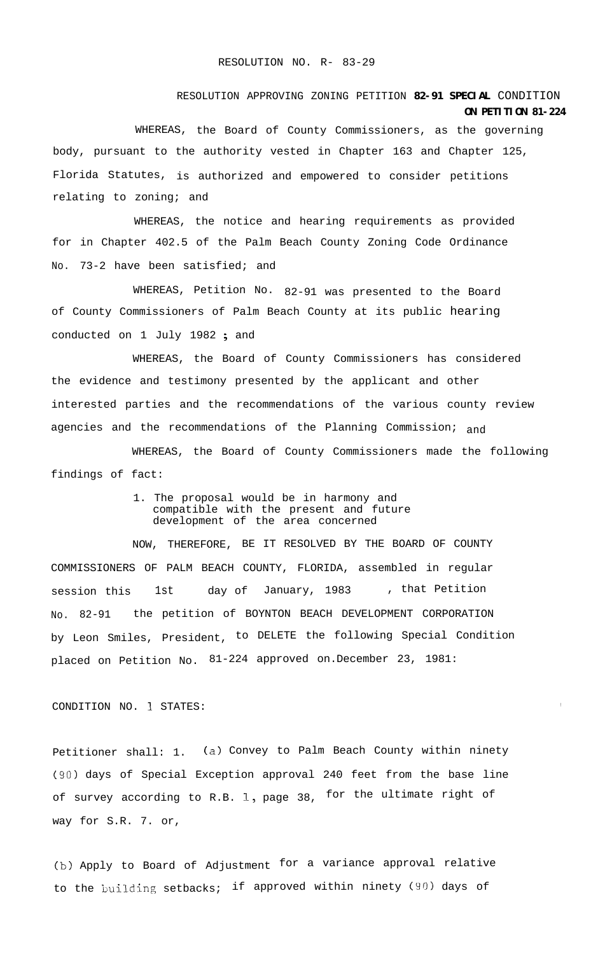## RESOLUTION APPROVING ZONING PETITION **82-91 SPECIAL** CONDITION **ON PETITION 81-224**

WHEREAS, the Board of County Commissioners, as the governing body, pursuant to the authority vested in Chapter 163 and Chapter 125, Florida Statutes, is authorized and empowered to consider petitions relating to zoning; and

WHEREAS, the notice and hearing requirements as provided for in Chapter 402.5 of the Palm Beach County Zoning Code Ordinance No. 73-2 have been satisfied; and

WHEREAS, Petition No. 82-91 was presented to the Board of County Commissioners of Palm Beach County at its public hearing conducted on 1 July 1982 ; and

WHEREAS, the Board of County Commissioners has considered the evidence and testimony presented by the applicant and other interested parties and the recommendations of the various county review agencies and the recommendations of the Planning Commission;  $_{and}$ 

WHEREAS, the Board of County Commissioners made the following findings of fact:

> 1. The proposal would be in harmony and compatible with the present and future development of the area concerned

NOW, THEREFORE, BE IT RESOLVED BY THE BOARD OF COUNTY COMMISSIONERS OF PALM BEACH COUNTY, FLORIDA, assembled in regular session this 1st day of January, 1983 , that Petition No. 82-91 the petition of BOYNTON BEACH DEVELOPMENT CORPORATION by Leon Smiles, President, to DELETE the following Special Condition placed on Petition No. 81-224 approved on.December 23, 1981:

CONDITION NO. 1 STATES:

Petitioner shall: 1. (a) Convey to Palm Beach County within ninety (90) days of Special Exception approval 240 feet from the base line of survey according to R.B. 1, page 38, for the ultimate right of way for S.R. 7. or,

(b) Apply to Board of Adjustment for a variance approval relative to the building setbacks; if approved within ninety (90) days of